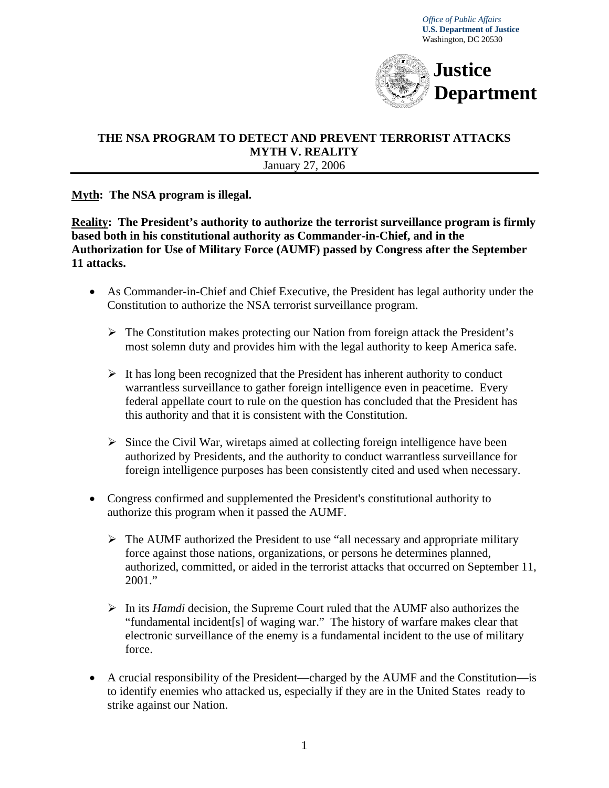*Office of Public Affairs*   **U.S. Department of Justice**  Washington, DC 20530



#### **THE NSA PROGRAM TO DETECT AND PREVENT TERRORIST ATTACKS MYTH V. REALITY** January 27, 2006

### **Myth: The NSA program is illegal.**

**Reality: The President's authority to authorize the terrorist surveillance program is firmly based both in his constitutional authority as Commander-in-Chief, and in the Authorization for Use of Military Force (AUMF) passed by Congress after the September 11 attacks.** 

- As Commander-in-Chief and Chief Executive, the President has legal authority under the Constitution to authorize the NSA terrorist surveillance program.
	- $\triangleright$  The Constitution makes protecting our Nation from foreign attack the President's most solemn duty and provides him with the legal authority to keep America safe.
	- $\triangleright$  It has long been recognized that the President has inherent authority to conduct warrantless surveillance to gather foreign intelligence even in peacetime. Every federal appellate court to rule on the question has concluded that the President has this authority and that it is consistent with the Constitution.
	- $\triangleright$  Since the Civil War, wiretaps aimed at collecting foreign intelligence have been authorized by Presidents, and the authority to conduct warrantless surveillance for foreign intelligence purposes has been consistently cited and used when necessary.
- Congress confirmed and supplemented the President's constitutional authority to authorize this program when it passed the AUMF.
	- $\triangleright$  The AUMF authorized the President to use "all necessary and appropriate military force against those nations, organizations, or persons he determines planned, authorized, committed, or aided in the terrorist attacks that occurred on September 11, 2001."
	- ¾ In its *Hamdi* decision, the Supreme Court ruled that the AUMF also authorizes the "fundamental incident[s] of waging war." The history of warfare makes clear that electronic surveillance of the enemy is a fundamental incident to the use of military force.
- A crucial responsibility of the President—charged by the AUMF and the Constitution—is to identify enemies who attacked us, especially if they are in the United States ready to strike against our Nation.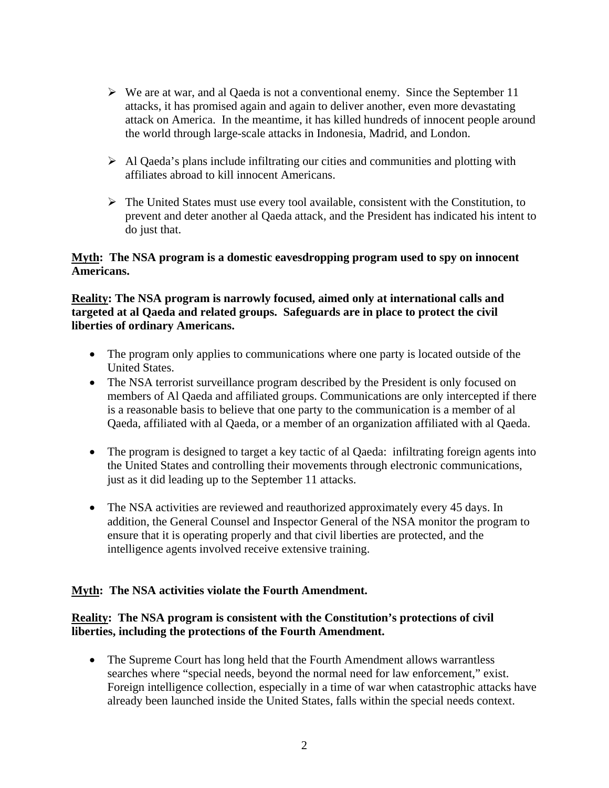- $\triangleright$  We are at war, and al Qaeda is not a conventional enemy. Since the September 11 attacks, it has promised again and again to deliver another, even more devastating attack on America. In the meantime, it has killed hundreds of innocent people around the world through large-scale attacks in Indonesia, Madrid, and London.
- $\triangleright$  Al Qaeda's plans include infiltrating our cities and communities and plotting with affiliates abroad to kill innocent Americans.
- $\triangleright$  The United States must use every tool available, consistent with the Constitution, to prevent and deter another al Qaeda attack, and the President has indicated his intent to do just that.

## **Myth: The NSA program is a domestic eavesdropping program used to spy on innocent Americans.**

## **Reality: The NSA program is narrowly focused, aimed only at international calls and targeted at al Qaeda and related groups. Safeguards are in place to protect the civil liberties of ordinary Americans.**

- The program only applies to communications where one party is located outside of the United States.
- The NSA terrorist surveillance program described by the President is only focused on members of Al Qaeda and affiliated groups. Communications are only intercepted if there is a reasonable basis to believe that one party to the communication is a member of al Qaeda, affiliated with al Qaeda, or a member of an organization affiliated with al Qaeda.
- The program is designed to target a key tactic of al Qaeda: infiltrating foreign agents into the United States and controlling their movements through electronic communications, just as it did leading up to the September 11 attacks.
- The NSA activities are reviewed and reauthorized approximately every 45 days. In addition, the General Counsel and Inspector General of the NSA monitor the program to ensure that it is operating properly and that civil liberties are protected, and the intelligence agents involved receive extensive training.

# **Myth: The NSA activities violate the Fourth Amendment.**

# **Reality: The NSA program is consistent with the Constitution's protections of civil liberties, including the protections of the Fourth Amendment.**

• The Supreme Court has long held that the Fourth Amendment allows warrantless searches where "special needs, beyond the normal need for law enforcement," exist. Foreign intelligence collection, especially in a time of war when catastrophic attacks have already been launched inside the United States, falls within the special needs context.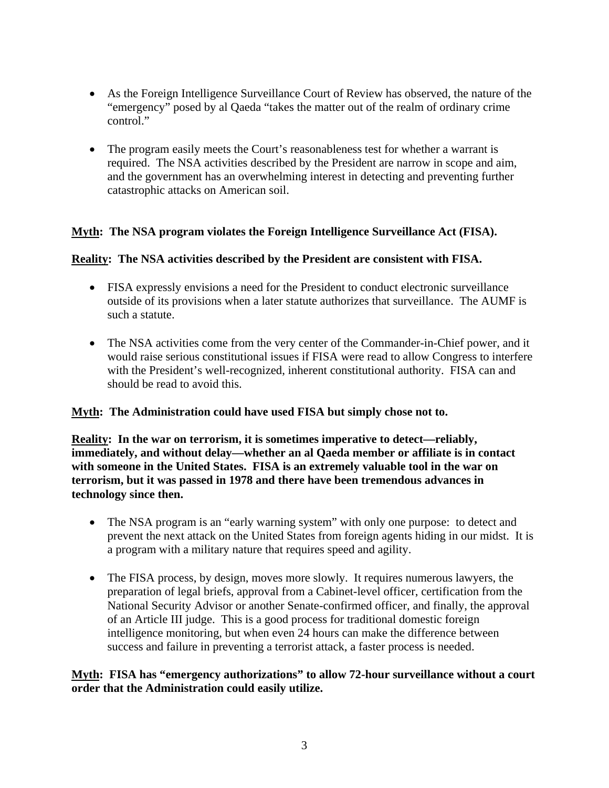- As the Foreign Intelligence Surveillance Court of Review has observed, the nature of the "emergency" posed by al Qaeda "takes the matter out of the realm of ordinary crime control."
- The program easily meets the Court's reasonableness test for whether a warrant is required. The NSA activities described by the President are narrow in scope and aim, and the government has an overwhelming interest in detecting and preventing further catastrophic attacks on American soil.

# **Myth: The NSA program violates the Foreign Intelligence Surveillance Act (FISA).**

### **Reality: The NSA activities described by the President are consistent with FISA.**

- FISA expressly envisions a need for the President to conduct electronic surveillance outside of its provisions when a later statute authorizes that surveillance. The AUMF is such a statute.
- The NSA activities come from the very center of the Commander-in-Chief power, and it would raise serious constitutional issues if FISA were read to allow Congress to interfere with the President's well-recognized, inherent constitutional authority. FISA can and should be read to avoid this.

### **Myth: The Administration could have used FISA but simply chose not to.**

**Reality: In the war on terrorism, it is sometimes imperative to detect—reliably, immediately, and without delay—whether an al Qaeda member or affiliate is in contact with someone in the United States. FISA is an extremely valuable tool in the war on terrorism, but it was passed in 1978 and there have been tremendous advances in technology since then.**

- The NSA program is an "early warning system" with only one purpose: to detect and prevent the next attack on the United States from foreign agents hiding in our midst. It is a program with a military nature that requires speed and agility.
- The FISA process, by design, moves more slowly. It requires numerous lawyers, the preparation of legal briefs, approval from a Cabinet-level officer, certification from the National Security Advisor or another Senate-confirmed officer, and finally, the approval of an Article III judge. This is a good process for traditional domestic foreign intelligence monitoring, but when even 24 hours can make the difference between success and failure in preventing a terrorist attack, a faster process is needed.

### **Myth: FISA has "emergency authorizations" to allow 72-hour surveillance without a court order that the Administration could easily utilize.**